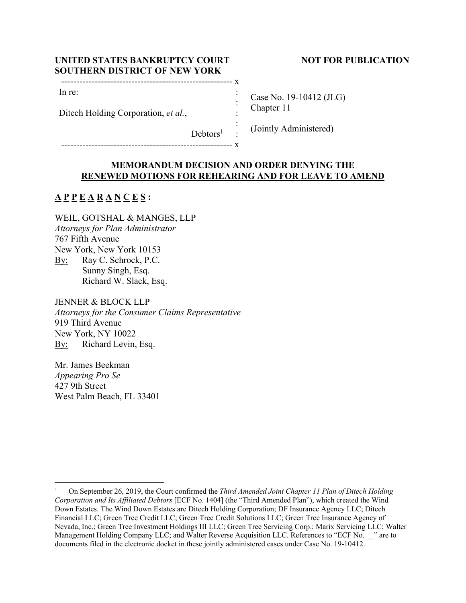# UNITED STATES BANKRUPTCY COURT NOT FOR PUBLICATION **SOUTHERN DISTRICT OF NEW YORK**

| ın |  |
|----|--|

-------------------------------------------------------- x

Ditech Holding Corporation, *et al.*,

Case No. 19-10412 (JLG) Chapter 11

 : : (Jointly Administered)

# **MEMORANDUM DECISION AND ORDER DENYING THE RENEWED MOTIONS FOR REHEARING AND FOR LEAVE TO AMEND**

 : :

 $Debtors<sup>1</sup>$ 

# **A P P E A R A N C E S :**

WEIL, GOTSHAL & MANGES, LLP *Attorneys for Plan Administrator*  767 Fifth Avenue New York, New York 10153 By: Ray C. Schrock, P.C. Sunny Singh, Esq. Richard W. Slack, Esq.

JENNER & BLOCK LLP *Attorneys for the Consumer Claims Representative*  919 Third Avenue New York, NY 10022 By: Richard Levin, Esq.

Mr. James Beekman *Appearing Pro Se* 427 9th Street West Palm Beach, FL 33401

<sup>1</sup> On September 26, 2019, the Court confirmed the *Third Amended Joint Chapter 11 Plan of Ditech Holding Corporation and Its Affiliated Debtors* [ECF No. 1404] (the "Third Amended Plan"), which created the Wind Down Estates. The Wind Down Estates are Ditech Holding Corporation; DF Insurance Agency LLC; Ditech Financial LLC; Green Tree Credit LLC; Green Tree Credit Solutions LLC; Green Tree Insurance Agency of Nevada, Inc.; Green Tree Investment Holdings III LLC; Green Tree Servicing Corp.; Marix Servicing LLC; Walter Management Holding Company LLC; and Walter Reverse Acquisition LLC. References to "ECF No. \_\_\_" are to documents filed in the electronic docket in these jointly administered cases under Case No. 19-10412.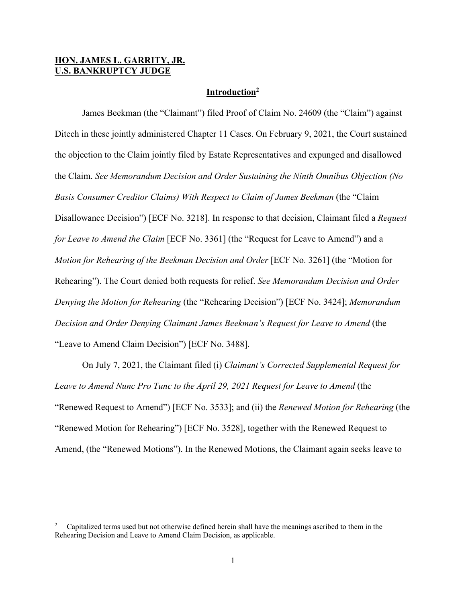# **HON. JAMES L. GARRITY, JR. U.S. BANKRUPTCY JUDGE**

## **Introduction2**

 James Beekman (the "Claimant") filed Proof of Claim No. 24609 (the "Claim") against Ditech in these jointly administered Chapter 11 Cases. On February 9, 2021, the Court sustained the objection to the Claim jointly filed by Estate Representatives and expunged and disallowed the Claim. *See Memorandum Decision and Order Sustaining the Ninth Omnibus Objection (No Basis Consumer Creditor Claims) With Respect to Claim of James Beekman* (the "Claim Disallowance Decision") [ECF No. 3218]. In response to that decision, Claimant filed a *Request for Leave to Amend the Claim* [ECF No. 3361] (the "Request for Leave to Amend") and a *Motion for Rehearing of the Beekman Decision and Order* [ECF No. 3261] (the "Motion for Rehearing"). The Court denied both requests for relief. *See Memorandum Decision and Order Denying the Motion for Rehearing* (the "Rehearing Decision") [ECF No. 3424]; *Memorandum Decision and Order Denying Claimant James Beekman's Request for Leave to Amend* (the "Leave to Amend Claim Decision") [ECF No. 3488].

 On July 7, 2021, the Claimant filed (i) *Claimant's Corrected Supplemental Request for Leave to Amend Nunc Pro Tunc to the April 29, 2021 Request for Leave to Amend* (the "Renewed Request to Amend") [ECF No. 3533]; and (ii) the *Renewed Motion for Rehearing* (the "Renewed Motion for Rehearing") [ECF No. 3528], together with the Renewed Request to Amend, (the "Renewed Motions"). In the Renewed Motions, the Claimant again seeks leave to

<sup>2</sup> Capitalized terms used but not otherwise defined herein shall have the meanings ascribed to them in the Rehearing Decision and Leave to Amend Claim Decision, as applicable.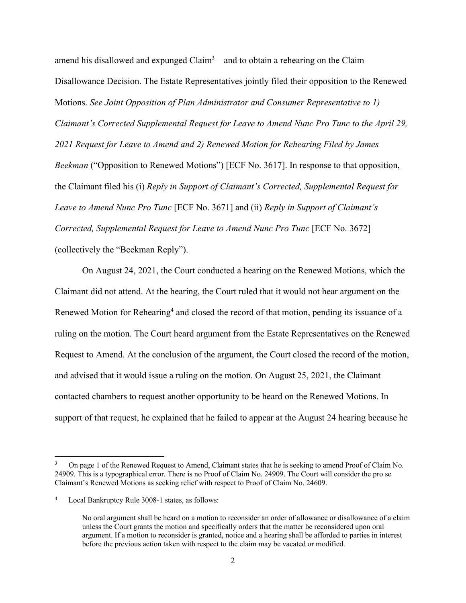amend his disallowed and expunged  $Claim<sup>3</sup> –$  and to obtain a rehearing on the Claim Disallowance Decision. The Estate Representatives jointly filed their opposition to the Renewed Motions. *See Joint Opposition of Plan Administrator and Consumer Representative to 1) Claimant's Corrected Supplemental Request for Leave to Amend Nunc Pro Tunc to the April 29, 2021 Request for Leave to Amend and 2) Renewed Motion for Rehearing Filed by James Beekman* ("Opposition to Renewed Motions") [ECF No. 3617]. In response to that opposition, the Claimant filed his (i) *Reply in Support of Claimant's Corrected, Supplemental Request for Leave to Amend Nunc Pro Tunc* [ECF No. 3671] and (ii) *Reply in Support of Claimant's Corrected, Supplemental Request for Leave to Amend Nunc Pro Tunc* [ECF No. 3672] (collectively the "Beekman Reply").

 On August 24, 2021, the Court conducted a hearing on the Renewed Motions, which the Claimant did not attend. At the hearing, the Court ruled that it would not hear argument on the Renewed Motion for Rehearing<sup>4</sup> and closed the record of that motion, pending its issuance of a ruling on the motion. The Court heard argument from the Estate Representatives on the Renewed Request to Amend. At the conclusion of the argument, the Court closed the record of the motion, and advised that it would issue a ruling on the motion. On August 25, 2021, the Claimant contacted chambers to request another opportunity to be heard on the Renewed Motions. In support of that request, he explained that he failed to appear at the August 24 hearing because he

<sup>3</sup> On page 1 of the Renewed Request to Amend, Claimant states that he is seeking to amend Proof of Claim No. 24909. This is a typographical error. There is no Proof of Claim No. 24909. The Court will consider the pro se Claimant's Renewed Motions as seeking relief with respect to Proof of Claim No. 24609.

<sup>4</sup> Local Bankruptcy Rule 3008-1 states, as follows:

No oral argument shall be heard on a motion to reconsider an order of allowance or disallowance of a claim unless the Court grants the motion and specifically orders that the matter be reconsidered upon oral argument. If a motion to reconsider is granted, notice and a hearing shall be afforded to parties in interest before the previous action taken with respect to the claim may be vacated or modified.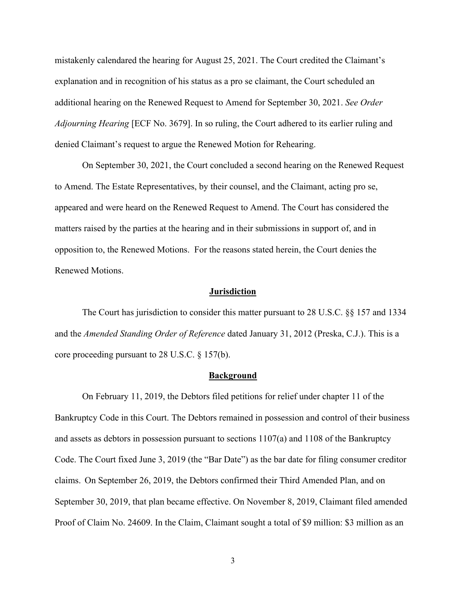mistakenly calendared the hearing for August 25, 2021. The Court credited the Claimant's explanation and in recognition of his status as a pro se claimant, the Court scheduled an additional hearing on the Renewed Request to Amend for September 30, 2021. *See Order Adjourning Hearing* [ECF No. 3679]. In so ruling, the Court adhered to its earlier ruling and denied Claimant's request to argue the Renewed Motion for Rehearing.

On September 30, 2021, the Court concluded a second hearing on the Renewed Request to Amend. The Estate Representatives, by their counsel, and the Claimant, acting pro se, appeared and were heard on the Renewed Request to Amend. The Court has considered the matters raised by the parties at the hearing and in their submissions in support of, and in opposition to, the Renewed Motions. For the reasons stated herein, the Court denies the Renewed Motions.

#### **Jurisdiction**

 The Court has jurisdiction to consider this matter pursuant to 28 U.S.C. §§ 157 and 1334 and the *Amended Standing Order of Reference* dated January 31, 2012 (Preska, C.J.). This is a core proceeding pursuant to 28 U.S.C. § 157(b).

#### **Background**

 On February 11, 2019, the Debtors filed petitions for relief under chapter 11 of the Bankruptcy Code in this Court. The Debtors remained in possession and control of their business and assets as debtors in possession pursuant to sections 1107(a) and 1108 of the Bankruptcy Code. The Court fixed June 3, 2019 (the "Bar Date") as the bar date for filing consumer creditor claims. On September 26, 2019, the Debtors confirmed their Third Amended Plan, and on September 30, 2019, that plan became effective. On November 8, 2019, Claimant filed amended Proof of Claim No. 24609. In the Claim, Claimant sought a total of \$9 million: \$3 million as an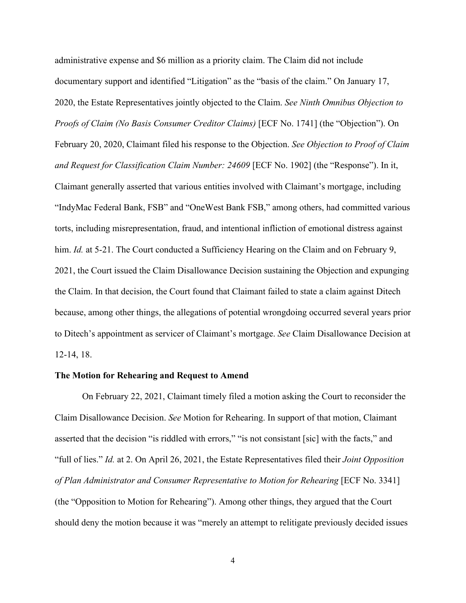administrative expense and \$6 million as a priority claim. The Claim did not include documentary support and identified "Litigation" as the "basis of the claim." On January 17, 2020, the Estate Representatives jointly objected to the Claim. *See Ninth Omnibus Objection to Proofs of Claim (No Basis Consumer Creditor Claims)* [ECF No. 1741] (the "Objection"). On February 20, 2020, Claimant filed his response to the Objection. *See Objection to Proof of Claim and Request for Classification Claim Number: 24609* [ECF No. 1902] (the "Response"). In it, Claimant generally asserted that various entities involved with Claimant's mortgage, including "IndyMac Federal Bank, FSB" and "OneWest Bank FSB," among others, had committed various torts, including misrepresentation, fraud, and intentional infliction of emotional distress against him. *Id.* at 5-21. The Court conducted a Sufficiency Hearing on the Claim and on February 9, 2021, the Court issued the Claim Disallowance Decision sustaining the Objection and expunging the Claim. In that decision, the Court found that Claimant failed to state a claim against Ditech because, among other things, the allegations of potential wrongdoing occurred several years prior to Ditech's appointment as servicer of Claimant's mortgage. *See* Claim Disallowance Decision at 12-14, 18.

#### **The Motion for Rehearing and Request to Amend**

 On February 22, 2021, Claimant timely filed a motion asking the Court to reconsider the Claim Disallowance Decision. *See* Motion for Rehearing. In support of that motion, Claimant asserted that the decision "is riddled with errors," "is not consistant [sic] with the facts," and "full of lies." *Id.* at 2. On April 26, 2021, the Estate Representatives filed their *Joint Opposition of Plan Administrator and Consumer Representative to Motion for Rehearing* [ECF No. 3341] (the "Opposition to Motion for Rehearing"). Among other things, they argued that the Court should deny the motion because it was "merely an attempt to relitigate previously decided issues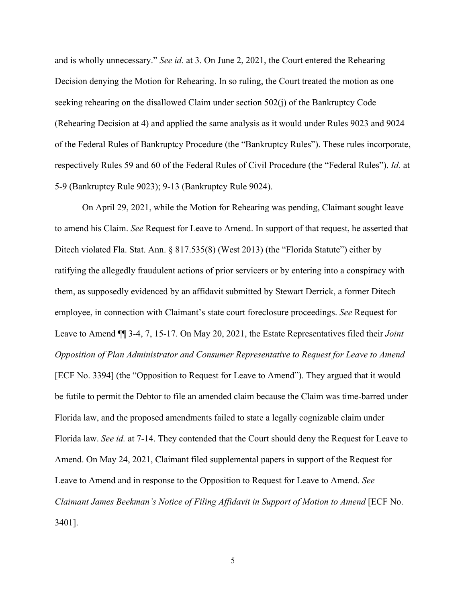and is wholly unnecessary." *See id.* at 3. On June 2, 2021, the Court entered the Rehearing Decision denying the Motion for Rehearing. In so ruling, the Court treated the motion as one seeking rehearing on the disallowed Claim under section 502(j) of the Bankruptcy Code (Rehearing Decision at 4) and applied the same analysis as it would under Rules 9023 and 9024 of the Federal Rules of Bankruptcy Procedure (the "Bankruptcy Rules"). These rules incorporate, respectively Rules 59 and 60 of the Federal Rules of Civil Procedure (the "Federal Rules"). *Id.* at 5-9 (Bankruptcy Rule 9023); 9-13 (Bankruptcy Rule 9024).

 On April 29, 2021, while the Motion for Rehearing was pending, Claimant sought leave to amend his Claim. *See* Request for Leave to Amend. In support of that request, he asserted that Ditech violated Fla. Stat. Ann. § 817.535(8) (West 2013) (the "Florida Statute") either by ratifying the allegedly fraudulent actions of prior servicers or by entering into a conspiracy with them, as supposedly evidenced by an affidavit submitted by Stewart Derrick, a former Ditech employee, in connection with Claimant's state court foreclosure proceedings. *See* Request for Leave to Amend ¶¶ 3-4, 7, 15-17. On May 20, 2021, the Estate Representatives filed their *Joint Opposition of Plan Administrator and Consumer Representative to Request for Leave to Amend* [ECF No. 3394] (the "Opposition to Request for Leave to Amend"). They argued that it would be futile to permit the Debtor to file an amended claim because the Claim was time-barred under Florida law, and the proposed amendments failed to state a legally cognizable claim under Florida law. *See id.* at 7-14. They contended that the Court should deny the Request for Leave to Amend. On May 24, 2021, Claimant filed supplemental papers in support of the Request for Leave to Amend and in response to the Opposition to Request for Leave to Amend. *See Claimant James Beekman's Notice of Filing Affidavit in Support of Motion to Amend* [ECF No. 3401].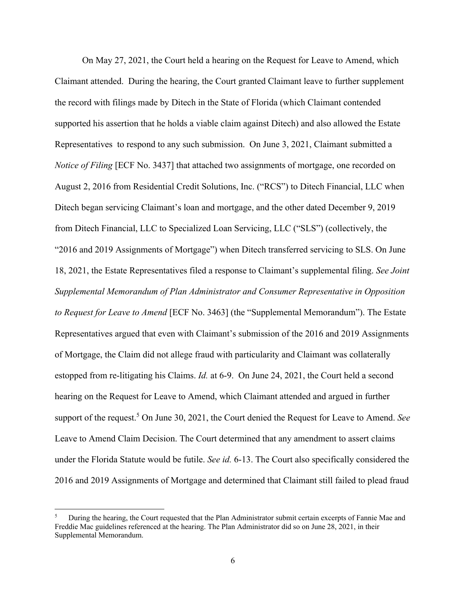On May 27, 2021, the Court held a hearing on the Request for Leave to Amend, which Claimant attended. During the hearing, the Court granted Claimant leave to further supplement the record with filings made by Ditech in the State of Florida (which Claimant contended supported his assertion that he holds a viable claim against Ditech) and also allowed the Estate Representatives to respond to any such submission. On June 3, 2021, Claimant submitted a *Notice of Filing* [ECF No. 3437] that attached two assignments of mortgage, one recorded on August 2, 2016 from Residential Credit Solutions, Inc. ("RCS") to Ditech Financial, LLC when Ditech began servicing Claimant's loan and mortgage, and the other dated December 9, 2019 from Ditech Financial, LLC to Specialized Loan Servicing, LLC ("SLS") (collectively, the "2016 and 2019 Assignments of Mortgage") when Ditech transferred servicing to SLS. On June 18, 2021, the Estate Representatives filed a response to Claimant's supplemental filing. *See Joint Supplemental Memorandum of Plan Administrator and Consumer Representative in Opposition to Request for Leave to Amend* [ECF No. 3463] (the "Supplemental Memorandum"). The Estate Representatives argued that even with Claimant's submission of the 2016 and 2019 Assignments of Mortgage, the Claim did not allege fraud with particularity and Claimant was collaterally estopped from re-litigating his Claims. *Id.* at 6-9. On June 24, 2021, the Court held a second hearing on the Request for Leave to Amend, which Claimant attended and argued in further support of the request.<sup>5</sup> On June 30, 2021, the Court denied the Request for Leave to Amend. See Leave to Amend Claim Decision. The Court determined that any amendment to assert claims under the Florida Statute would be futile. *See id.* 6-13. The Court also specifically considered the 2016 and 2019 Assignments of Mortgage and determined that Claimant still failed to plead fraud

<sup>5</sup> During the hearing, the Court requested that the Plan Administrator submit certain excerpts of Fannie Mae and Freddie Mac guidelines referenced at the hearing. The Plan Administrator did so on June 28, 2021, in their Supplemental Memorandum.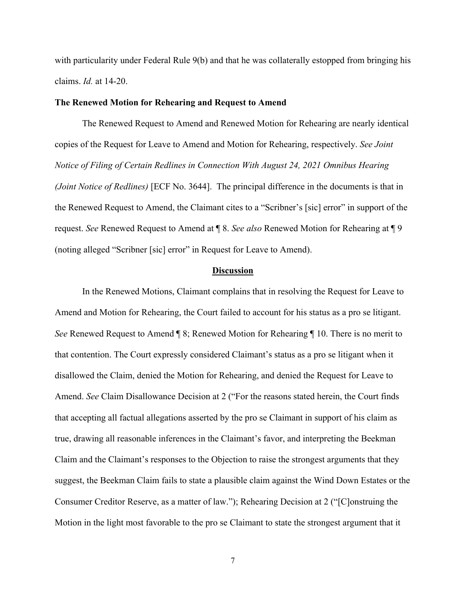with particularity under Federal Rule 9(b) and that he was collaterally estopped from bringing his claims. *Id.* at 14-20.

## **The Renewed Motion for Rehearing and Request to Amend**

 The Renewed Request to Amend and Renewed Motion for Rehearing are nearly identical copies of the Request for Leave to Amend and Motion for Rehearing, respectively. *See Joint Notice of Filing of Certain Redlines in Connection With August 24, 2021 Omnibus Hearing (Joint Notice of Redlines)* [ECF No. 3644]. The principal difference in the documents is that in the Renewed Request to Amend, the Claimant cites to a "Scribner's [sic] error" in support of the request. *See* Renewed Request to Amend at ¶ 8. *See also* Renewed Motion for Rehearing at ¶ 9 (noting alleged "Scribner [sic] error" in Request for Leave to Amend).

#### **Discussion**

 In the Renewed Motions, Claimant complains that in resolving the Request for Leave to Amend and Motion for Rehearing, the Court failed to account for his status as a pro se litigant. *See* Renewed Request to Amend ¶ 8; Renewed Motion for Rehearing ¶ 10. There is no merit to that contention. The Court expressly considered Claimant's status as a pro se litigant when it disallowed the Claim, denied the Motion for Rehearing, and denied the Request for Leave to Amend. *See* Claim Disallowance Decision at 2 ("For the reasons stated herein, the Court finds that accepting all factual allegations asserted by the pro se Claimant in support of his claim as true, drawing all reasonable inferences in the Claimant's favor, and interpreting the Beekman Claim and the Claimant's responses to the Objection to raise the strongest arguments that they suggest, the Beekman Claim fails to state a plausible claim against the Wind Down Estates or the Consumer Creditor Reserve, as a matter of law."); Rehearing Decision at 2 ("[C]onstruing the Motion in the light most favorable to the pro se Claimant to state the strongest argument that it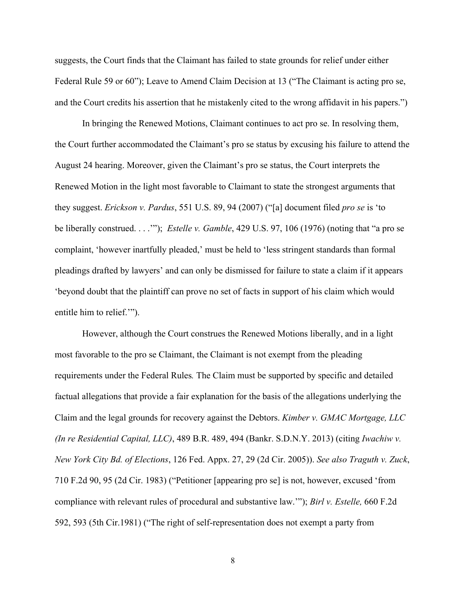suggests, the Court finds that the Claimant has failed to state grounds for relief under either Federal Rule 59 or 60"); Leave to Amend Claim Decision at 13 ("The Claimant is acting pro se, and the Court credits his assertion that he mistakenly cited to the wrong affidavit in his papers.")

In bringing the Renewed Motions, Claimant continues to act pro se. In resolving them, the Court further accommodated the Claimant's pro se status by excusing his failure to attend the August 24 hearing. Moreover, given the Claimant's pro se status, the Court interprets the Renewed Motion in the light most favorable to Claimant to state the strongest arguments that they suggest. *Erickson v. Pardus*, 551 U.S. 89, 94 (2007) ("[a] document filed *pro se* is 'to be liberally construed. . . .'"); *Estelle v. Gamble*, 429 U.S. 97, 106 (1976) (noting that "a pro se complaint, 'however inartfully pleaded,' must be held to 'less stringent standards than formal pleadings drafted by lawyers' and can only be dismissed for failure to state a claim if it appears 'beyond doubt that the plaintiff can prove no set of facts in support of his claim which would entitle him to relief.'").

However, although the Court construes the Renewed Motions liberally, and in a light most favorable to the pro se Claimant, the Claimant is not exempt from the pleading requirements under the Federal Rules*.* The Claim must be supported by specific and detailed factual allegations that provide a fair explanation for the basis of the allegations underlying the Claim and the legal grounds for recovery against the Debtors. *Kimber v. GMAC Mortgage, LLC (In re Residential Capital, LLC)*, 489 B.R. 489, 494 (Bankr. S.D.N.Y. 2013) (citing *Iwachiw v. New York City Bd. of Elections*, 126 Fed. Appx. 27, 29 (2d Cir. 2005)). *See also Traguth v. Zuck*, 710 F.2d 90, 95 (2d Cir. 1983) ("Petitioner [appearing pro se] is not, however, excused 'from compliance with relevant rules of procedural and substantive law.'"); *Birl v. Estelle,* 660 F.2d 592, 593 (5th Cir.1981) ("The right of self-representation does not exempt a party from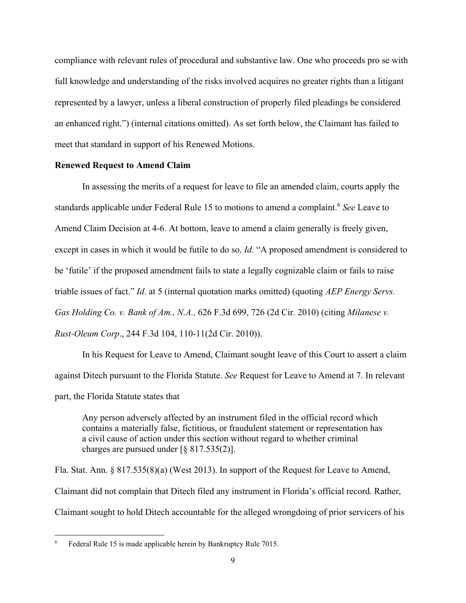compliance with relevant rules of procedural and substantive law. One who proceeds pro se with full knowledge and understanding of the risks involved acquires no greater rights than a litigant represented by a lawyer, unless a liberal construction of properly filed pleadings be considered an enhanced right.") (internal citations omitted). As set forth below, the Claimant has failed to meet that standard in support of his Renewed Motions.

# **Renewed Request to Amend Claim**

 In assessing the merits of a request for leave to file an amended claim, courts apply the standards applicable under Federal Rule 15 to motions to amend a complaint.6 *See* Leave to Amend Claim Decision at 4-6. At bottom, leave to amend a claim generally is freely given, except in cases in which it would be futile to do so. *Id.* "A proposed amendment is considered to be 'futile' if the proposed amendment fails to state a legally cognizable claim or fails to raise triable issues of fact." *Id*. at 5 (internal quotation marks omitted) (quoting *AEP Energy Servs. Gas Holding Co. v. Bank of Am., N.A.,* 626 F.3d 699, 726 (2d Cir. 2010) (citing *Milanese v. Rust-Oleum Corp*., 244 F.3d 104, 110-11(2d Cir. 2010)).

 In his Request for Leave to Amend, Claimant sought leave of this Court to assert a claim against Ditech pursuant to the Florida Statute. *See* Request for Leave to Amend at 7. In relevant part, the Florida Statute states that

Any person adversely affected by an instrument filed in the official record which contains a materially false, fictitious, or fraudulent statement or representation has a civil cause of action under this section without regard to whether criminal charges are pursued under [§ 817.535(2)].

Fla. Stat. Ann. § 817.535(8)(a) (West 2013). In support of the Request for Leave to Amend, Claimant did not complain that Ditech filed any instrument in Florida's official record. Rather, Claimant sought to hold Ditech accountable for the alleged wrongdoing of prior servicers of his

<sup>6</sup> Federal Rule 15 is made applicable herein by Bankruptcy Rule 7015.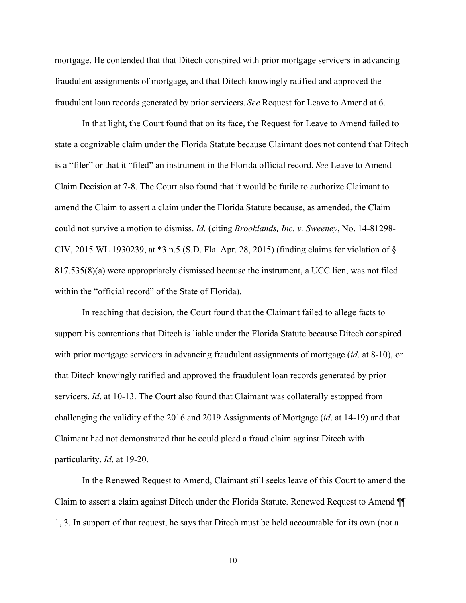mortgage. He contended that that Ditech conspired with prior mortgage servicers in advancing fraudulent assignments of mortgage, and that Ditech knowingly ratified and approved the fraudulent loan records generated by prior servicers. *See* Request for Leave to Amend at 6.

 In that light, the Court found that on its face, the Request for Leave to Amend failed to state a cognizable claim under the Florida Statute because Claimant does not contend that Ditech is a "filer" or that it "filed" an instrument in the Florida official record. *See* Leave to Amend Claim Decision at 7-8. The Court also found that it would be futile to authorize Claimant to amend the Claim to assert a claim under the Florida Statute because, as amended, the Claim could not survive a motion to dismiss. *Id.* (citing *Brooklands, Inc. v. Sweeney*, No. 14-81298- CIV, 2015 WL 1930239, at \*3 n.5 (S.D. Fla. Apr. 28, 2015) (finding claims for violation of § 817.535(8)(a) were appropriately dismissed because the instrument, a UCC lien, was not filed within the "official record" of the State of Florida).

In reaching that decision, the Court found that the Claimant failed to allege facts to support his contentions that Ditech is liable under the Florida Statute because Ditech conspired with prior mortgage servicers in advancing fraudulent assignments of mortgage (*id*. at 8-10), or that Ditech knowingly ratified and approved the fraudulent loan records generated by prior servicers. *Id*. at 10-13. The Court also found that Claimant was collaterally estopped from challenging the validity of the 2016 and 2019 Assignments of Mortgage (*id*. at 14-19) and that Claimant had not demonstrated that he could plead a fraud claim against Ditech with particularity. *Id*. at 19-20.

 In the Renewed Request to Amend, Claimant still seeks leave of this Court to amend the Claim to assert a claim against Ditech under the Florida Statute. Renewed Request to Amend ¶¶ 1, 3. In support of that request, he says that Ditech must be held accountable for its own (not a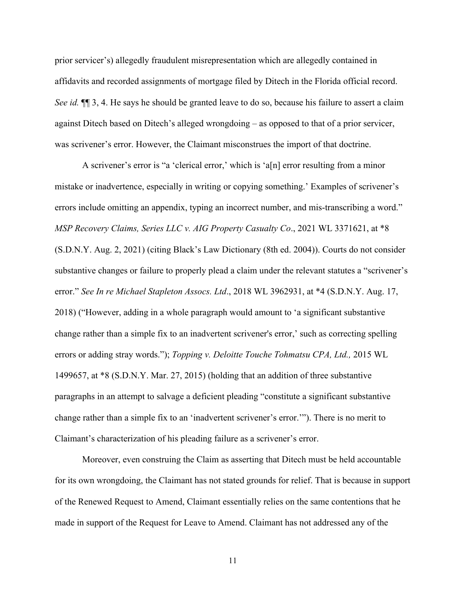prior servicer's) allegedly fraudulent misrepresentation which are allegedly contained in affidavits and recorded assignments of mortgage filed by Ditech in the Florida official record. *See id.*  $\P$  3, 4. He says he should be granted leave to do so, because his failure to assert a claim against Ditech based on Ditech's alleged wrongdoing – as opposed to that of a prior servicer, was scrivener's error. However, the Claimant misconstrues the import of that doctrine.

A scrivener's error is "a 'clerical error,' which is 'a[n] error resulting from a minor mistake or inadvertence, especially in writing or copying something.' Examples of scrivener's errors include omitting an appendix, typing an incorrect number, and mis-transcribing a word." *MSP Recovery Claims, Series LLC v. AIG Property Casualty Co*., 2021 WL 3371621, at \*8 (S.D.N.Y. Aug. 2, 2021) (citing Black's Law Dictionary (8th ed. 2004)). Courts do not consider substantive changes or failure to properly plead a claim under the relevant statutes a "scrivener's error." *See In re Michael Stapleton Assocs. Ltd*., 2018 WL 3962931, at \*4 (S.D.N.Y. Aug. 17, 2018) ("However, adding in a whole paragraph would amount to 'a significant substantive change rather than a simple fix to an inadvertent scrivener's error,' such as correcting spelling errors or adding stray words."); *Topping v. Deloitte Touche Tohmatsu CPA, Ltd.,* 2015 WL 1499657, at \*8 (S.D.N.Y. Mar. 27, 2015) (holding that an addition of three substantive paragraphs in an attempt to salvage a deficient pleading "constitute a significant substantive change rather than a simple fix to an 'inadvertent scrivener's error.'"). There is no merit to Claimant's characterization of his pleading failure as a scrivener's error.

Moreover, even construing the Claim as asserting that Ditech must be held accountable for its own wrongdoing, the Claimant has not stated grounds for relief. That is because in support of the Renewed Request to Amend, Claimant essentially relies on the same contentions that he made in support of the Request for Leave to Amend. Claimant has not addressed any of the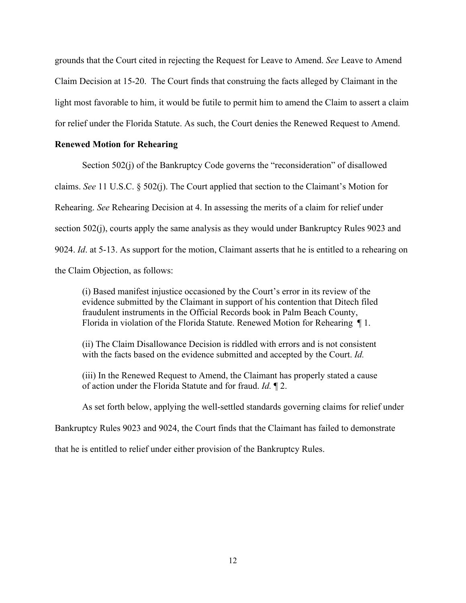grounds that the Court cited in rejecting the Request for Leave to Amend. *See* Leave to Amend Claim Decision at 15-20. The Court finds that construing the facts alleged by Claimant in the light most favorable to him, it would be futile to permit him to amend the Claim to assert a claim for relief under the Florida Statute. As such, the Court denies the Renewed Request to Amend.

## **Renewed Motion for Rehearing**

 Section 502(j) of the Bankruptcy Code governs the "reconsideration" of disallowed claims. *See* 11 U.S.C. § 502(j). The Court applied that section to the Claimant's Motion for Rehearing. *See* Rehearing Decision at 4. In assessing the merits of a claim for relief under section 502(j), courts apply the same analysis as they would under Bankruptcy Rules 9023 and 9024. *Id*. at 5-13. As support for the motion, Claimant asserts that he is entitled to a rehearing on the Claim Objection, as follows:

(i) Based manifest injustice occasioned by the Court's error in its review of the evidence submitted by the Claimant in support of his contention that Ditech filed fraudulent instruments in the Official Records book in Palm Beach County, Florida in violation of the Florida Statute. Renewed Motion for Rehearing ¶ 1.

(ii) The Claim Disallowance Decision is riddled with errors and is not consistent with the facts based on the evidence submitted and accepted by the Court. *Id.*

(iii) In the Renewed Request to Amend, the Claimant has properly stated a cause of action under the Florida Statute and for fraud. *Id.* ¶ 2.

As set forth below, applying the well-settled standards governing claims for relief under

Bankruptcy Rules 9023 and 9024, the Court finds that the Claimant has failed to demonstrate

that he is entitled to relief under either provision of the Bankruptcy Rules.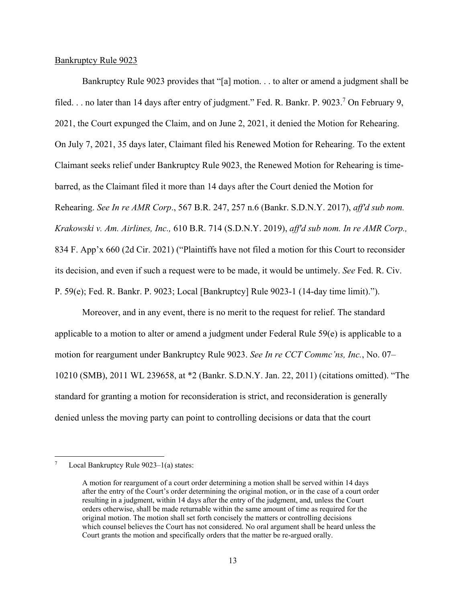### Bankruptcy Rule 9023

 Bankruptcy Rule 9023 provides that "[a] motion. . . to alter or amend a judgment shall be filed... no later than 14 days after entry of judgment." Fed. R. Bankr. P. 9023.<sup>7</sup> On February 9, 2021, the Court expunged the Claim, and on June 2, 2021, it denied the Motion for Rehearing. On July 7, 2021, 35 days later, Claimant filed his Renewed Motion for Rehearing. To the extent Claimant seeks relief under Bankruptcy Rule 9023, the Renewed Motion for Rehearing is timebarred, as the Claimant filed it more than 14 days after the Court denied the Motion for Rehearing. *See In re AMR Corp*., 567 B.R. 247, 257 n.6 (Bankr. S.D.N.Y. 2017), *aff'd sub nom. Krakowski v. Am. Airlines, Inc.,* 610 B.R. 714 (S.D.N.Y. 2019), *aff'd sub nom. In re AMR Corp.,* 834 F. App'x 660 (2d Cir. 2021) ("Plaintiffs have not filed a motion for this Court to reconsider its decision, and even if such a request were to be made, it would be untimely. *See* Fed. R. Civ. P. 59(e); Fed. R. Bankr. P. 9023; Local [Bankruptcy] Rule 9023-1 (14-day time limit).").

 Moreover, and in any event, there is no merit to the request for relief. The standard applicable to a motion to alter or amend a judgment under Federal Rule 59(e) is applicable to a motion for reargument under Bankruptcy Rule 9023. *See In re CCT Commc'ns, Inc.*, No. 07– 10210 (SMB), 2011 WL 239658, at \*2 (Bankr. S.D.N.Y. Jan. 22, 2011) (citations omitted). "The standard for granting a motion for reconsideration is strict, and reconsideration is generally denied unless the moving party can point to controlling decisions or data that the court

<sup>7</sup> Local Bankruptcy Rule 9023–1(a) states:

A motion for reargument of a court order determining a motion shall be served within 14 days after the entry of the Court's order determining the original motion, or in the case of a court order resulting in a judgment, within 14 days after the entry of the judgment, and, unless the Court orders otherwise, shall be made returnable within the same amount of time as required for the original motion. The motion shall set forth concisely the matters or controlling decisions which counsel believes the Court has not considered. No oral argument shall be heard unless the Court grants the motion and specifically orders that the matter be re-argued orally.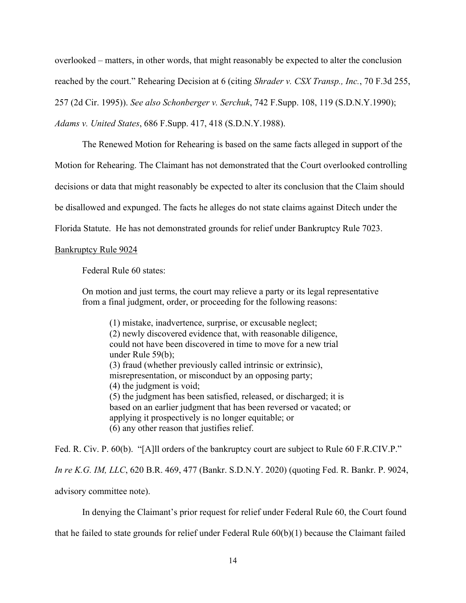overlooked – matters, in other words, that might reasonably be expected to alter the conclusion reached by the court." Rehearing Decision at 6 (citing *Shrader v. CSX Transp., Inc.*, 70 F.3d 255, 257 (2d Cir. 1995)). *See also Schonberger v. Serchuk*, 742 F.Supp. 108, 119 (S.D.N.Y.1990); *Adams v. United States*, 686 F.Supp. 417, 418 (S.D.N.Y.1988).

 The Renewed Motion for Rehearing is based on the same facts alleged in support of the Motion for Rehearing. The Claimant has not demonstrated that the Court overlooked controlling decisions or data that might reasonably be expected to alter its conclusion that the Claim should be disallowed and expunged. The facts he alleges do not state claims against Ditech under the Florida Statute. He has not demonstrated grounds for relief under Bankruptcy Rule 7023.

#### Bankruptcy Rule 9024

Federal Rule 60 states:

On motion and just terms, the court may relieve a party or its legal representative from a final judgment, order, or proceeding for the following reasons:

(1) mistake, inadvertence, surprise, or excusable neglect; (2) newly discovered evidence that, with reasonable diligence, could not have been discovered in time to move for a new trial under Rule 59(b); (3) fraud (whether previously called intrinsic or extrinsic), misrepresentation, or misconduct by an opposing party; (4) the judgment is void; (5) the judgment has been satisfied, released, or discharged; it is based on an earlier judgment that has been reversed or vacated; or applying it prospectively is no longer equitable; or (6) any other reason that justifies relief.

Fed. R. Civ. P. 60(b). "[A]ll orders of the bankruptcy court are subject to Rule 60 F.R.CIV.P." *In re K.G. IM, LLC*, 620 B.R. 469, 477 (Bankr. S.D.N.Y. 2020) (quoting Fed. R. Bankr. P. 9024,

advisory committee note).

In denying the Claimant's prior request for relief under Federal Rule 60, the Court found

that he failed to state grounds for relief under Federal Rule 60(b)(1) because the Claimant failed